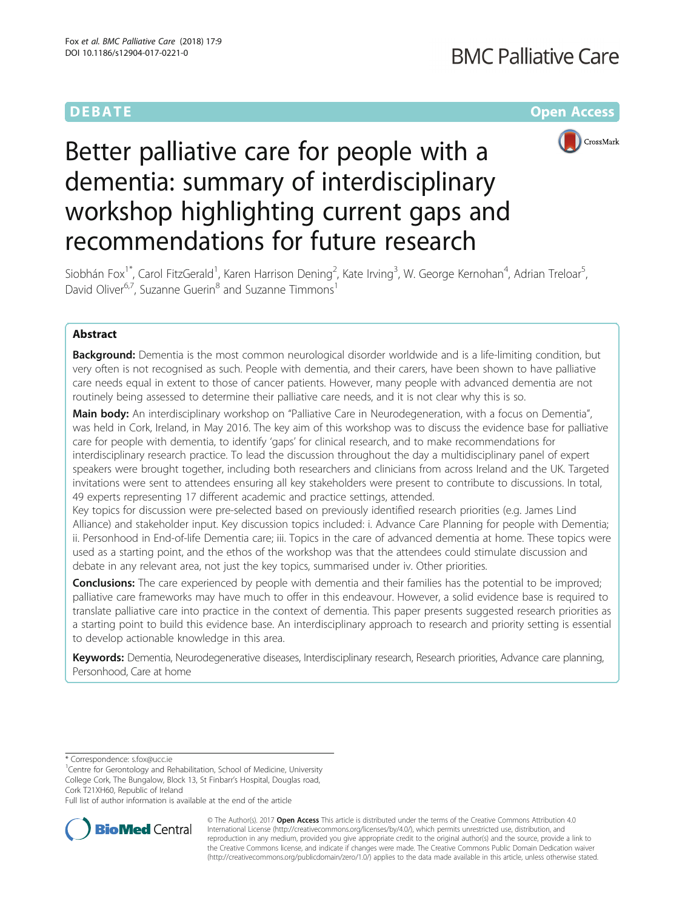**DEBATE CONSERVATION CONSERVATION** 



# Better palliative care for people with a dementia: summary of interdisciplinary workshop highlighting current gaps and recommendations for future research

Siobhán Fox<sup>1\*</sup>, Carol FitzGerald<sup>1</sup>, Karen Harrison Dening<sup>2</sup>, Kate Irving<sup>3</sup>, W. George Kernohan<sup>4</sup>, Adrian Treloar<sup>5</sup> , David Oliver<sup>6,7</sup>, Suzanne Guerin<sup>8</sup> and Suzanne Timmons<sup>1</sup>

# Abstract

**Background:** Dementia is the most common neurological disorder worldwide and is a life-limiting condition, but very often is not recognised as such. People with dementia, and their carers, have been shown to have palliative care needs equal in extent to those of cancer patients. However, many people with advanced dementia are not routinely being assessed to determine their palliative care needs, and it is not clear why this is so.

Main body: An interdisciplinary workshop on "Palliative Care in Neurodegeneration, with a focus on Dementia", was held in Cork, Ireland, in May 2016. The key aim of this workshop was to discuss the evidence base for palliative care for people with dementia, to identify 'gaps' for clinical research, and to make recommendations for interdisciplinary research practice. To lead the discussion throughout the day a multidisciplinary panel of expert speakers were brought together, including both researchers and clinicians from across Ireland and the UK. Targeted invitations were sent to attendees ensuring all key stakeholders were present to contribute to discussions. In total, 49 experts representing 17 different academic and practice settings, attended.

Key topics for discussion were pre-selected based on previously identified research priorities (e.g. James Lind Alliance) and stakeholder input. Key discussion topics included: i. Advance Care Planning for people with Dementia; ii. Personhood in End-of-life Dementia care; iii. Topics in the care of advanced dementia at home. These topics were used as a starting point, and the ethos of the workshop was that the attendees could stimulate discussion and debate in any relevant area, not just the key topics, summarised under iv. Other priorities.

**Conclusions:** The care experienced by people with dementia and their families has the potential to be improved; palliative care frameworks may have much to offer in this endeavour. However, a solid evidence base is required to translate palliative care into practice in the context of dementia. This paper presents suggested research priorities as a starting point to build this evidence base. An interdisciplinary approach to research and priority setting is essential to develop actionable knowledge in this area.

Keywords: Dementia, Neurodegenerative diseases, Interdisciplinary research, Research priorities, Advance care planning, Personhood, Care at home

\* Correspondence: [s.fox@ucc.ie](mailto:s.fox@ucc.ie) <sup>1</sup>

Full list of author information is available at the end of the article



© The Author(s). 2017 **Open Access** This article is distributed under the terms of the Creative Commons Attribution 4.0 International License [\(http://creativecommons.org/licenses/by/4.0/](http://creativecommons.org/licenses/by/4.0/)), which permits unrestricted use, distribution, and reproduction in any medium, provided you give appropriate credit to the original author(s) and the source, provide a link to the Creative Commons license, and indicate if changes were made. The Creative Commons Public Domain Dedication waiver [\(http://creativecommons.org/publicdomain/zero/1.0/](http://creativecommons.org/publicdomain/zero/1.0/)) applies to the data made available in this article, unless otherwise stated.

<sup>&</sup>lt;sup>1</sup> Centre for Gerontology and Rehabilitation, School of Medicine, University College Cork, The Bungalow, Block 13, St Finbarr's Hospital, Douglas road, Cork T21XH60, Republic of Ireland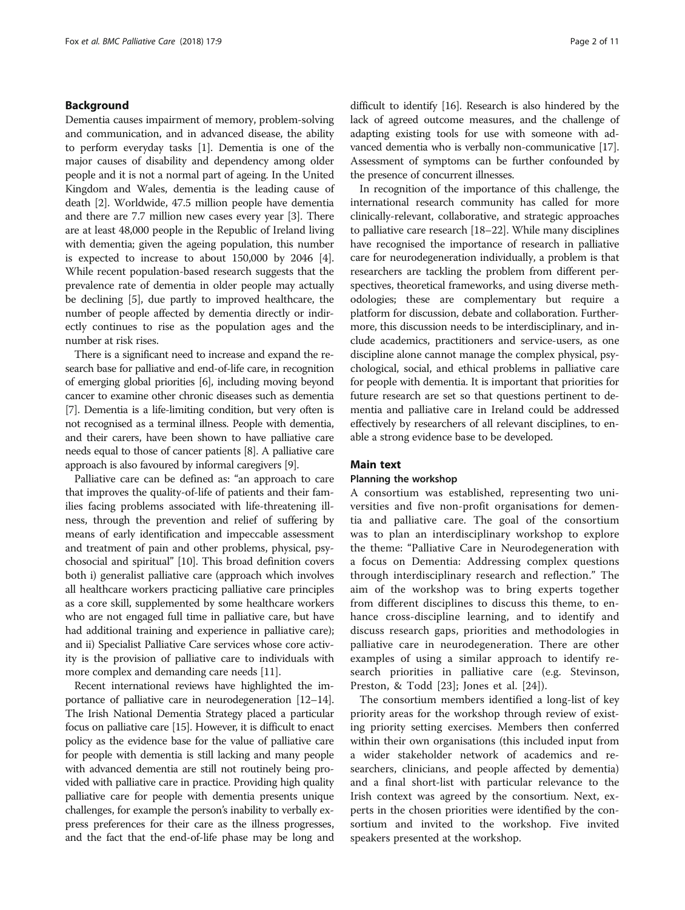# Background

Dementia causes impairment of memory, problem-solving and communication, and in advanced disease, the ability to perform everyday tasks [\[1](#page-9-0)]. Dementia is one of the major causes of disability and dependency among older people and it is not a normal part of ageing. In the United Kingdom and Wales, dementia is the leading cause of death [\[2](#page-9-0)]. Worldwide, 47.5 million people have dementia and there are 7.7 million new cases every year [\[3](#page-9-0)]. There are at least 48,000 people in the Republic of Ireland living with dementia; given the ageing population, this number is expected to increase to about 150,000 by 2046 [[4](#page-9-0)]. While recent population-based research suggests that the prevalence rate of dementia in older people may actually be declining [\[5](#page-9-0)], due partly to improved healthcare, the number of people affected by dementia directly or indirectly continues to rise as the population ages and the number at risk rises.

There is a significant need to increase and expand the research base for palliative and end-of-life care, in recognition of emerging global priorities [\[6\]](#page-9-0), including moving beyond cancer to examine other chronic diseases such as dementia [[7](#page-9-0)]. Dementia is a life-limiting condition, but very often is not recognised as a terminal illness. People with dementia, and their carers, have been shown to have palliative care needs equal to those of cancer patients [\[8\]](#page-9-0). A palliative care approach is also favoured by informal caregivers [\[9](#page-9-0)].

Palliative care can be defined as: "an approach to care that improves the quality-of-life of patients and their families facing problems associated with life-threatening illness, through the prevention and relief of suffering by means of early identification and impeccable assessment and treatment of pain and other problems, physical, psychosocial and spiritual" [\[10](#page-9-0)]. This broad definition covers both i) generalist palliative care (approach which involves all healthcare workers practicing palliative care principles as a core skill, supplemented by some healthcare workers who are not engaged full time in palliative care, but have had additional training and experience in palliative care); and ii) Specialist Palliative Care services whose core activity is the provision of palliative care to individuals with more complex and demanding care needs [[11](#page-9-0)].

Recent international reviews have highlighted the importance of palliative care in neurodegeneration [[12](#page-9-0)–[14](#page-9-0)]. The Irish National Dementia Strategy placed a particular focus on palliative care [\[15](#page-9-0)]. However, it is difficult to enact policy as the evidence base for the value of palliative care for people with dementia is still lacking and many people with advanced dementia are still not routinely being provided with palliative care in practice. Providing high quality palliative care for people with dementia presents unique challenges, for example the person's inability to verbally express preferences for their care as the illness progresses, and the fact that the end-of-life phase may be long and difficult to identify [\[16\]](#page-9-0). Research is also hindered by the lack of agreed outcome measures, and the challenge of adapting existing tools for use with someone with advanced dementia who is verbally non-communicative [\[17](#page-9-0)]. Assessment of symptoms can be further confounded by the presence of concurrent illnesses.

In recognition of the importance of this challenge, the international research community has called for more clinically-relevant, collaborative, and strategic approaches to palliative care research [\[18](#page-9-0)–[22](#page-9-0)]. While many disciplines have recognised the importance of research in palliative care for neurodegeneration individually, a problem is that researchers are tackling the problem from different perspectives, theoretical frameworks, and using diverse methodologies; these are complementary but require a platform for discussion, debate and collaboration. Furthermore, this discussion needs to be interdisciplinary, and include academics, practitioners and service-users, as one discipline alone cannot manage the complex physical, psychological, social, and ethical problems in palliative care for people with dementia. It is important that priorities for future research are set so that questions pertinent to dementia and palliative care in Ireland could be addressed effectively by researchers of all relevant disciplines, to enable a strong evidence base to be developed.

### Main text

#### Planning the workshop

A consortium was established, representing two universities and five non-profit organisations for dementia and palliative care. The goal of the consortium was to plan an interdisciplinary workshop to explore the theme: "Palliative Care in Neurodegeneration with a focus on Dementia: Addressing complex questions through interdisciplinary research and reflection." The aim of the workshop was to bring experts together from different disciplines to discuss this theme, to enhance cross-discipline learning, and to identify and discuss research gaps, priorities and methodologies in palliative care in neurodegeneration. There are other examples of using a similar approach to identify research priorities in palliative care (e.g. Stevinson, Preston, & Todd [\[23](#page-9-0)]; Jones et al. [\[24](#page-9-0)]).

The consortium members identified a long-list of key priority areas for the workshop through review of existing priority setting exercises. Members then conferred within their own organisations (this included input from a wider stakeholder network of academics and researchers, clinicians, and people affected by dementia) and a final short-list with particular relevance to the Irish context was agreed by the consortium. Next, experts in the chosen priorities were identified by the consortium and invited to the workshop. Five invited speakers presented at the workshop.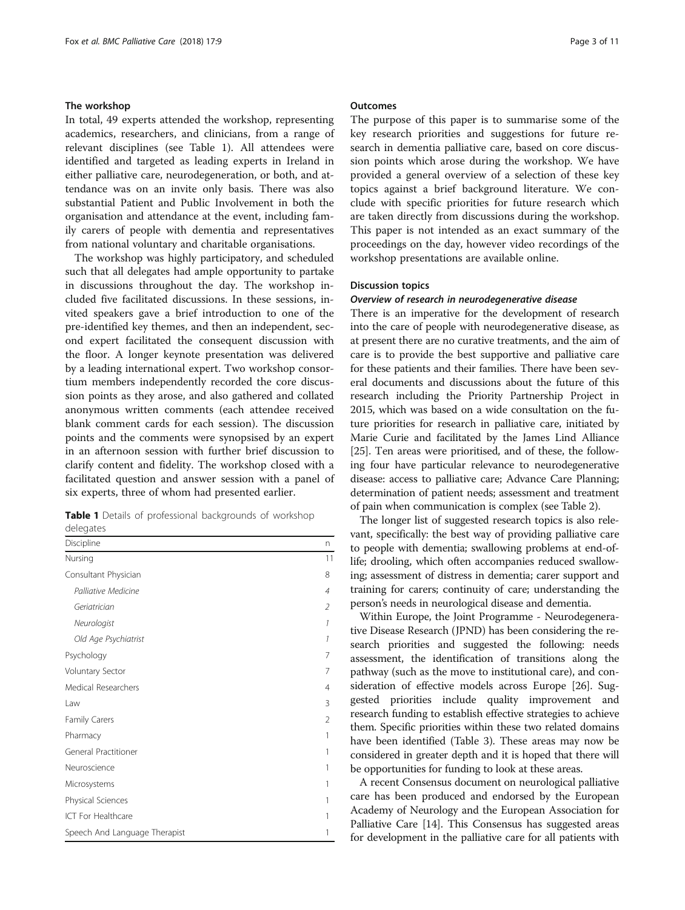## The workshop

delegates

In total, 49 experts attended the workshop, representing academics, researchers, and clinicians, from a range of relevant disciplines (see Table 1). All attendees were identified and targeted as leading experts in Ireland in either palliative care, neurodegeneration, or both, and attendance was on an invite only basis. There was also substantial Patient and Public Involvement in both the organisation and attendance at the event, including family carers of people with dementia and representatives from national voluntary and charitable organisations.

The workshop was highly participatory, and scheduled such that all delegates had ample opportunity to partake in discussions throughout the day. The workshop included five facilitated discussions. In these sessions, invited speakers gave a brief introduction to one of the pre-identified key themes, and then an independent, second expert facilitated the consequent discussion with the floor. A longer keynote presentation was delivered by a leading international expert. Two workshop consortium members independently recorded the core discussion points as they arose, and also gathered and collated anonymous written comments (each attendee received blank comment cards for each session). The discussion points and the comments were synopsised by an expert in an afternoon session with further brief discussion to clarify content and fidelity. The workshop closed with a facilitated question and answer session with a panel of six experts, three of whom had presented earlier.

Table 1 Details of professional backgrounds of workshop

| Discipline                    | n              |
|-------------------------------|----------------|
| Nursing                       | 11             |
|                               |                |
| Consultant Physician          | 8              |
| Palliative Medicine           | $\overline{4}$ |
| Geriatrician                  | 2              |
| Neurologist                   | 1              |
| Old Age Psychiatrist          | 1              |
| Psychology                    | 7              |
| Voluntary Sector              | 7              |
| Medical Researchers           | 4              |
| l aw                          | 3              |
| <b>Family Carers</b>          | $\mathfrak{D}$ |
| Pharmacy                      |                |
| General Practitioner          |                |
| Neuroscience                  | 1              |
| Microsystems                  | 1              |
| Physical Sciences             |                |
| ICT For Healthcare            |                |
| Speech And Language Therapist | 1              |

#### **Outcomes**

The purpose of this paper is to summarise some of the key research priorities and suggestions for future research in dementia palliative care, based on core discussion points which arose during the workshop. We have provided a general overview of a selection of these key topics against a brief background literature. We conclude with specific priorities for future research which are taken directly from discussions during the workshop. This paper is not intended as an exact summary of the proceedings on the day, however video recordings of the workshop presentations are available online.

#### Discussion topics

#### Overview of research in neurodegenerative disease

There is an imperative for the development of research into the care of people with neurodegenerative disease, as at present there are no curative treatments, and the aim of care is to provide the best supportive and palliative care for these patients and their families. There have been several documents and discussions about the future of this research including the Priority Partnership Project in 2015, which was based on a wide consultation on the future priorities for research in palliative care, initiated by Marie Curie and facilitated by the James Lind Alliance [[25](#page-9-0)]. Ten areas were prioritised, and of these, the following four have particular relevance to neurodegenerative disease: access to palliative care; Advance Care Planning; determination of patient needs; assessment and treatment of pain when communication is complex (see Table [2](#page-3-0)).

The longer list of suggested research topics is also relevant, specifically: the best way of providing palliative care to people with dementia; swallowing problems at end-oflife; drooling, which often accompanies reduced swallowing; assessment of distress in dementia; carer support and training for carers; continuity of care; understanding the person's needs in neurological disease and dementia.

Within Europe, the Joint Programme - Neurodegenerative Disease Research (JPND) has been considering the research priorities and suggested the following: needs assessment, the identification of transitions along the pathway (such as the move to institutional care), and consideration of effective models across Europe [\[26\]](#page-9-0). Suggested priorities include quality improvement and research funding to establish effective strategies to achieve them. Specific priorities within these two related domains have been identified (Table [3](#page-3-0)). These areas may now be considered in greater depth and it is hoped that there will be opportunities for funding to look at these areas.

A recent Consensus document on neurological palliative care has been produced and endorsed by the European Academy of Neurology and the European Association for Palliative Care [\[14](#page-9-0)]. This Consensus has suggested areas for development in the palliative care for all patients with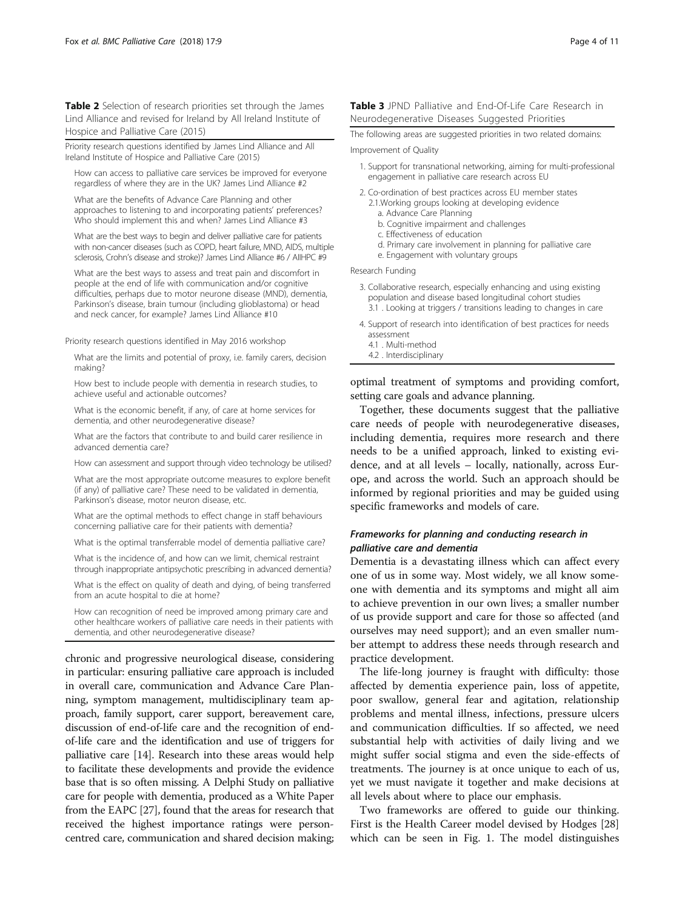<span id="page-3-0"></span>Table 2 Selection of research priorities set through the James Lind Alliance and revised for Ireland by All Ireland Institute of Hospice and Palliative Care (2015)

Priority research questions identified by James Lind Alliance and All Ireland Institute of Hospice and Palliative Care (2015)

How can access to palliative care services be improved for everyone regardless of where they are in the UK? James Lind Alliance #2

What are the benefits of Advance Care Planning and other approaches to listening to and incorporating patients' preferences? Who should implement this and when? James Lind Alliance #3

What are the best ways to begin and deliver palliative care for patients with non-cancer diseases (such as COPD, heart failure, MND, AIDS, multiple sclerosis, Crohn's disease and stroke)? James Lind Alliance #6 / AIIHPC #9

What are the best ways to assess and treat pain and discomfort in people at the end of life with communication and/or cognitive difficulties, perhaps due to motor neurone disease (MND), dementia, Parkinson's disease, brain tumour (including glioblastoma) or head and neck cancer, for example? James Lind Alliance #10

Priority research questions identified in May 2016 workshop

What are the limits and potential of proxy, i.e. family carers, decision making?

How best to include people with dementia in research studies, to achieve useful and actionable outcomes?

What is the economic benefit, if any, of care at home services for dementia, and other neurodegenerative disease?

What are the factors that contribute to and build carer resilience in advanced dementia care?

How can assessment and support through video technology be utilised?

What are the most appropriate outcome measures to explore benefit (if any) of palliative care? These need to be validated in dementia, Parkinson's disease, motor neuron disease, etc.

What are the optimal methods to effect change in staff behaviours concerning palliative care for their patients with dementia?

What is the optimal transferrable model of dementia palliative care?

What is the incidence of, and how can we limit, chemical restraint through inappropriate antipsychotic prescribing in advanced dementia?

What is the effect on quality of death and dying, of being transferred from an acute hospital to die at home?

How can recognition of need be improved among primary care and other healthcare workers of palliative care needs in their patients with dementia, and other neurodegenerative disease?

chronic and progressive neurological disease, considering in particular: ensuring palliative care approach is included in overall care, communication and Advance Care Planning, symptom management, multidisciplinary team approach, family support, carer support, bereavement care, discussion of end-of-life care and the recognition of endof-life care and the identification and use of triggers for palliative care [\[14\]](#page-9-0). Research into these areas would help to facilitate these developments and provide the evidence base that is so often missing. A Delphi Study on palliative care for people with dementia, produced as a White Paper from the EAPC [\[27](#page-9-0)], found that the areas for research that received the highest importance ratings were personcentred care, communication and shared decision making;

#### Table 3 JPND Palliative and End-Of-Life Care Research in Neurodegenerative Diseases Suggested Priorities

The following areas are suggested priorities in two related domains:

#### Improvement of Quality

- 1. Support for transnational networking, aiming for multi-professional engagement in palliative care research across EU
- 2. Co-ordination of best practices across EU member states 2.1.Working groups looking at developing evidence
	- a. Advance Care Planning
	- b. Cognitive impairment and challenges
	- c. Effectiveness of education
	- d. Primary care involvement in planning for palliative care
	- e. Engagement with voluntary groups

Research Funding

- 3. Collaborative research, especially enhancing and using existing population and disease based longitudinal cohort studies
- 3.1 . Looking at triggers / transitions leading to changes in care
- 4. Support of research into identification of best practices for needs assessment
	- 4.1 . Multi-method

4.2 . Interdisciplinary

optimal treatment of symptoms and providing comfort, setting care goals and advance planning.

Together, these documents suggest that the palliative care needs of people with neurodegenerative diseases, including dementia, requires more research and there needs to be a unified approach, linked to existing evidence, and at all levels – locally, nationally, across Europe, and across the world. Such an approach should be informed by regional priorities and may be guided using specific frameworks and models of care.

# Frameworks for planning and conducting research in palliative care and dementia

Dementia is a devastating illness which can affect every one of us in some way. Most widely, we all know someone with dementia and its symptoms and might all aim to achieve prevention in our own lives; a smaller number of us provide support and care for those so affected (and ourselves may need support); and an even smaller number attempt to address these needs through research and practice development.

The life-long journey is fraught with difficulty: those affected by dementia experience pain, loss of appetite, poor swallow, general fear and agitation, relationship problems and mental illness, infections, pressure ulcers and communication difficulties. If so affected, we need substantial help with activities of daily living and we might suffer social stigma and even the side-effects of treatments. The journey is at once unique to each of us, yet we must navigate it together and make decisions at all levels about where to place our emphasis.

Two frameworks are offered to guide our thinking. First is the Health Career model devised by Hodges [[28](#page-9-0)] which can be seen in Fig. [1.](#page-4-0) The model distinguishes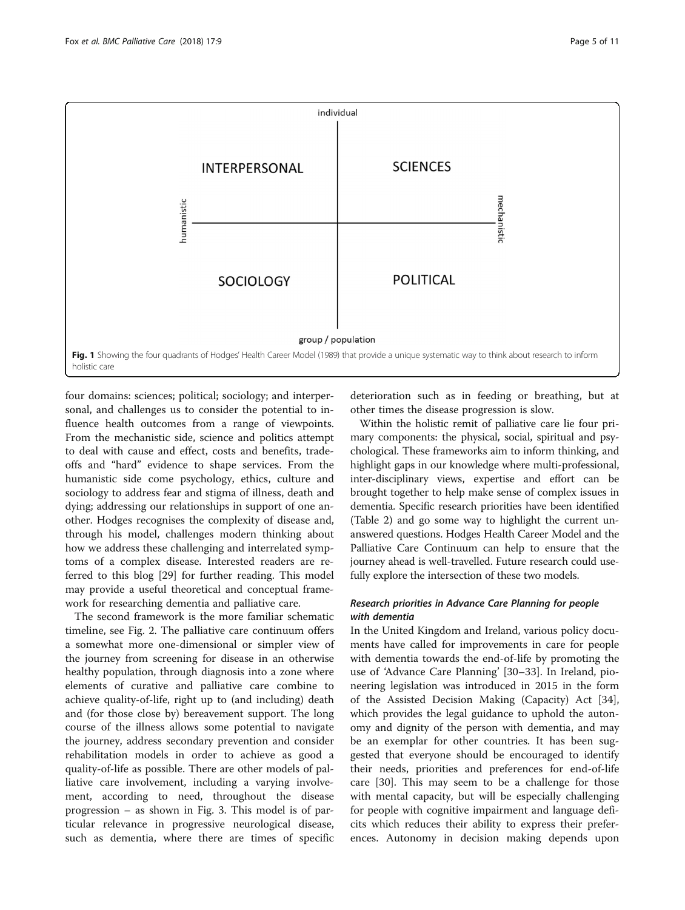<span id="page-4-0"></span>

four domains: sciences; political; sociology; and interpersonal, and challenges us to consider the potential to influence health outcomes from a range of viewpoints. From the mechanistic side, science and politics attempt to deal with cause and effect, costs and benefits, tradeoffs and "hard" evidence to shape services. From the humanistic side come psychology, ethics, culture and sociology to address fear and stigma of illness, death and dying; addressing our relationships in support of one another. Hodges recognises the complexity of disease and, through his model, challenges modern thinking about how we address these challenging and interrelated symptoms of a complex disease. Interested readers are referred to this blog [[29\]](#page-9-0) for further reading. This model may provide a useful theoretical and conceptual framework for researching dementia and palliative care.

The second framework is the more familiar schematic timeline, see Fig. [2](#page-5-0). The palliative care continuum offers a somewhat more one-dimensional or simpler view of the journey from screening for disease in an otherwise healthy population, through diagnosis into a zone where elements of curative and palliative care combine to achieve quality-of-life, right up to (and including) death and (for those close by) bereavement support. The long course of the illness allows some potential to navigate the journey, address secondary prevention and consider rehabilitation models in order to achieve as good a quality-of-life as possible. There are other models of palliative care involvement, including a varying involvement, according to need, throughout the disease progression – as shown in Fig. [3.](#page-5-0) This model is of particular relevance in progressive neurological disease, such as dementia, where there are times of specific

deterioration such as in feeding or breathing, but at other times the disease progression is slow.

Within the holistic remit of palliative care lie four primary components: the physical, social, spiritual and psychological. These frameworks aim to inform thinking, and highlight gaps in our knowledge where multi-professional, inter-disciplinary views, expertise and effort can be brought together to help make sense of complex issues in dementia. Specific research priorities have been identified (Table [2](#page-3-0)) and go some way to highlight the current unanswered questions. Hodges Health Career Model and the Palliative Care Continuum can help to ensure that the journey ahead is well-travelled. Future research could usefully explore the intersection of these two models.

# Research priorities in Advance Care Planning for people with dementia

In the United Kingdom and Ireland, various policy documents have called for improvements in care for people with dementia towards the end-of-life by promoting the use of 'Advance Care Planning' [[30](#page-9-0)–[33\]](#page-9-0). In Ireland, pioneering legislation was introduced in 2015 in the form of the Assisted Decision Making (Capacity) Act [\[34](#page-9-0)], which provides the legal guidance to uphold the autonomy and dignity of the person with dementia, and may be an exemplar for other countries. It has been suggested that everyone should be encouraged to identify their needs, priorities and preferences for end-of-life care [[30](#page-9-0)]. This may seem to be a challenge for those with mental capacity, but will be especially challenging for people with cognitive impairment and language deficits which reduces their ability to express their preferences. Autonomy in decision making depends upon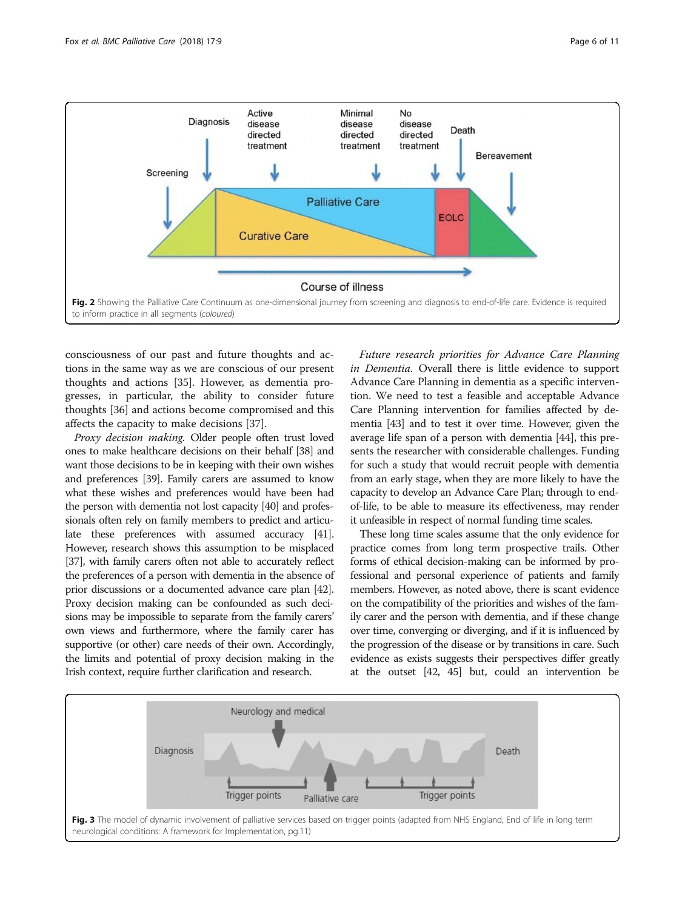<span id="page-5-0"></span>

consciousness of our past and future thoughts and actions in the same way as we are conscious of our present thoughts and actions [\[35](#page-9-0)]. However, as dementia progresses, in particular, the ability to consider future thoughts [[36\]](#page-9-0) and actions become compromised and this affects the capacity to make decisions [[37\]](#page-9-0).

Proxy decision making. Older people often trust loved ones to make healthcare decisions on their behalf [\[38\]](#page-9-0) and want those decisions to be in keeping with their own wishes and preferences [\[39](#page-9-0)]. Family carers are assumed to know what these wishes and preferences would have been had the person with dementia not lost capacity [\[40\]](#page-9-0) and professionals often rely on family members to predict and articulate these preferences with assumed accuracy [\[41](#page-9-0)]. However, research shows this assumption to be misplaced [[37](#page-9-0)], with family carers often not able to accurately reflect the preferences of a person with dementia in the absence of prior discussions or a documented advance care plan [\[42](#page-9-0)]. Proxy decision making can be confounded as such decisions may be impossible to separate from the family carers' own views and furthermore, where the family carer has supportive (or other) care needs of their own. Accordingly, the limits and potential of proxy decision making in the Irish context, require further clarification and research.

Future research priorities for Advance Care Planning in Dementia. Overall there is little evidence to support Advance Care Planning in dementia as a specific intervention. We need to test a feasible and acceptable Advance Care Planning intervention for families affected by dementia [\[43\]](#page-10-0) and to test it over time. However, given the average life span of a person with dementia [[44](#page-10-0)], this presents the researcher with considerable challenges. Funding for such a study that would recruit people with dementia from an early stage, when they are more likely to have the capacity to develop an Advance Care Plan; through to endof-life, to be able to measure its effectiveness, may render it unfeasible in respect of normal funding time scales.

These long time scales assume that the only evidence for practice comes from long term prospective trails. Other forms of ethical decision-making can be informed by professional and personal experience of patients and family members. However, as noted above, there is scant evidence on the compatibility of the priorities and wishes of the family carer and the person with dementia, and if these change over time, converging or diverging, and if it is influenced by the progression of the disease or by transitions in care. Such evidence as exists suggests their perspectives differ greatly at the outset [\[42,](#page-9-0) [45\]](#page-10-0) but, could an intervention be

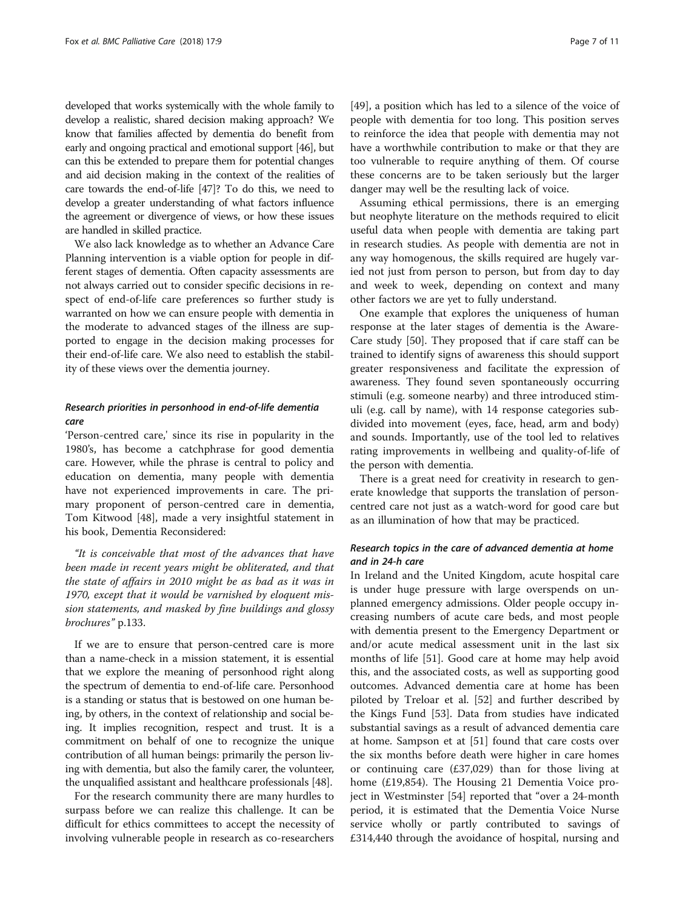developed that works systemically with the whole family to develop a realistic, shared decision making approach? We know that families affected by dementia do benefit from early and ongoing practical and emotional support [\[46\]](#page-10-0), but can this be extended to prepare them for potential changes and aid decision making in the context of the realities of care towards the end-of-life [\[47\]](#page-10-0)? To do this, we need to develop a greater understanding of what factors influence the agreement or divergence of views, or how these issues are handled in skilled practice.

We also lack knowledge as to whether an Advance Care Planning intervention is a viable option for people in different stages of dementia. Often capacity assessments are not always carried out to consider specific decisions in respect of end-of-life care preferences so further study is warranted on how we can ensure people with dementia in the moderate to advanced stages of the illness are supported to engage in the decision making processes for their end-of-life care. We also need to establish the stability of these views over the dementia journey.

# Research priorities in personhood in end-of-life dementia care

'Person-centred care,' since its rise in popularity in the 1980's, has become a catchphrase for good dementia care. However, while the phrase is central to policy and education on dementia, many people with dementia have not experienced improvements in care. The primary proponent of person-centred care in dementia, Tom Kitwood [\[48\]](#page-10-0), made a very insightful statement in his book, Dementia Reconsidered:

"It is conceivable that most of the advances that have been made in recent years might be obliterated, and that the state of affairs in 2010 might be as bad as it was in 1970, except that it would be varnished by eloquent mission statements, and masked by fine buildings and glossy brochures" p.133.

If we are to ensure that person-centred care is more than a name-check in a mission statement, it is essential that we explore the meaning of personhood right along the spectrum of dementia to end-of-life care. Personhood is a standing or status that is bestowed on one human being, by others, in the context of relationship and social being. It implies recognition, respect and trust. It is a commitment on behalf of one to recognize the unique contribution of all human beings: primarily the person living with dementia, but also the family carer, the volunteer, the unqualified assistant and healthcare professionals [\[48\]](#page-10-0).

For the research community there are many hurdles to surpass before we can realize this challenge. It can be difficult for ethics committees to accept the necessity of involving vulnerable people in research as co-researchers

[[49\]](#page-10-0), a position which has led to a silence of the voice of people with dementia for too long. This position serves to reinforce the idea that people with dementia may not have a worthwhile contribution to make or that they are too vulnerable to require anything of them. Of course these concerns are to be taken seriously but the larger danger may well be the resulting lack of voice.

Assuming ethical permissions, there is an emerging but neophyte literature on the methods required to elicit useful data when people with dementia are taking part in research studies. As people with dementia are not in any way homogenous, the skills required are hugely varied not just from person to person, but from day to day and week to week, depending on context and many other factors we are yet to fully understand.

One example that explores the uniqueness of human response at the later stages of dementia is the Aware-Care study [\[50](#page-10-0)]. They proposed that if care staff can be trained to identify signs of awareness this should support greater responsiveness and facilitate the expression of awareness. They found seven spontaneously occurring stimuli (e.g. someone nearby) and three introduced stimuli (e.g. call by name), with 14 response categories subdivided into movement (eyes, face, head, arm and body) and sounds. Importantly, use of the tool led to relatives rating improvements in wellbeing and quality-of-life of the person with dementia.

There is a great need for creativity in research to generate knowledge that supports the translation of personcentred care not just as a watch-word for good care but as an illumination of how that may be practiced.

# Research topics in the care of advanced dementia at home and in 24-h care

In Ireland and the United Kingdom, acute hospital care is under huge pressure with large overspends on unplanned emergency admissions. Older people occupy increasing numbers of acute care beds, and most people with dementia present to the Emergency Department or and/or acute medical assessment unit in the last six months of life [[51](#page-10-0)]. Good care at home may help avoid this, and the associated costs, as well as supporting good outcomes. Advanced dementia care at home has been piloted by Treloar et al. [[52](#page-10-0)] and further described by the Kings Fund [\[53\]](#page-10-0). Data from studies have indicated substantial savings as a result of advanced dementia care at home. Sampson et at [[51\]](#page-10-0) found that care costs over the six months before death were higher in care homes or continuing care (£37,029) than for those living at home (£19,854). The Housing 21 Dementia Voice project in Westminster [\[54](#page-10-0)] reported that "over a 24-month period, it is estimated that the Dementia Voice Nurse service wholly or partly contributed to savings of £314,440 through the avoidance of hospital, nursing and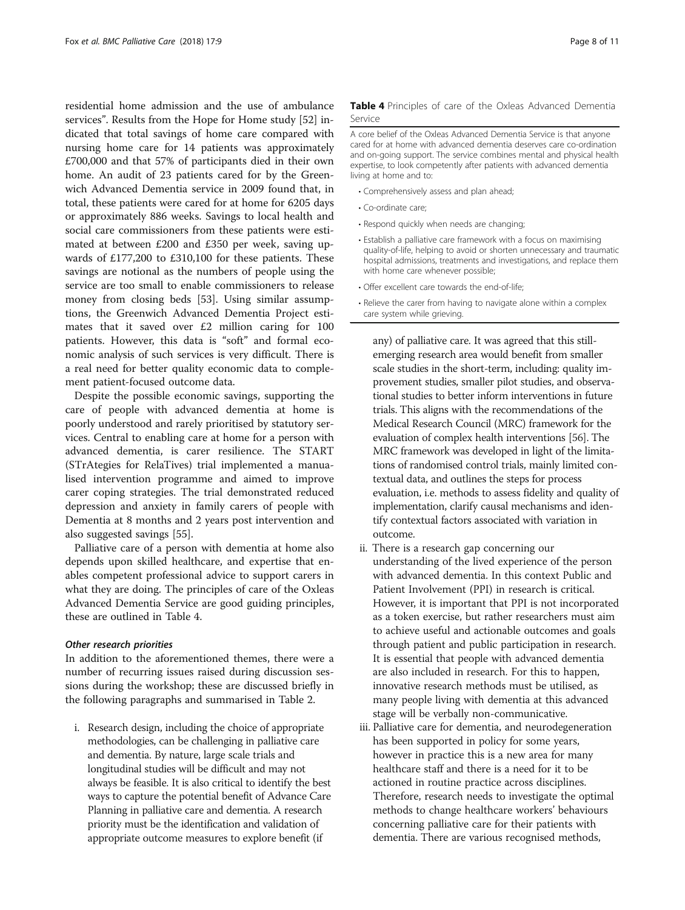residential home admission and the use of ambulance services". Results from the Hope for Home study [\[52\]](#page-10-0) indicated that total savings of home care compared with nursing home care for 14 patients was approximately £700,000 and that 57% of participants died in their own home. An audit of 23 patients cared for by the Greenwich Advanced Dementia service in 2009 found that, in total, these patients were cared for at home for 6205 days or approximately 886 weeks. Savings to local health and social care commissioners from these patients were estimated at between £200 and £350 per week, saving upwards of £177,200 to £310,100 for these patients. These savings are notional as the numbers of people using the service are too small to enable commissioners to release money from closing beds [[53](#page-10-0)]. Using similar assumptions, the Greenwich Advanced Dementia Project estimates that it saved over £2 million caring for 100 patients. However, this data is "soft" and formal economic analysis of such services is very difficult. There is a real need for better quality economic data to complement patient-focused outcome data.

Despite the possible economic savings, supporting the care of people with advanced dementia at home is poorly understood and rarely prioritised by statutory services. Central to enabling care at home for a person with advanced dementia, is carer resilience. The START (STrAtegies for RelaTives) trial implemented a manualised intervention programme and aimed to improve carer coping strategies. The trial demonstrated reduced depression and anxiety in family carers of people with Dementia at 8 months and 2 years post intervention and also suggested savings [\[55\]](#page-10-0).

Palliative care of a person with dementia at home also depends upon skilled healthcare, and expertise that enables competent professional advice to support carers in what they are doing. The principles of care of the Oxleas Advanced Dementia Service are good guiding principles, these are outlined in Table 4.

#### Other research priorities

In addition to the aforementioned themes, there were a number of recurring issues raised during discussion sessions during the workshop; these are discussed briefly in the following paragraphs and summarised in Table [2](#page-3-0).

i. Research design, including the choice of appropriate methodologies, can be challenging in palliative care and dementia. By nature, large scale trials and longitudinal studies will be difficult and may not always be feasible. It is also critical to identify the best ways to capture the potential benefit of Advance Care Planning in palliative care and dementia. A research priority must be the identification and validation of appropriate outcome measures to explore benefit (if

#### Table 4 Principles of care of the Oxleas Advanced Dementia Service

A core belief of the Oxleas Advanced Dementia Service is that anyone cared for at home with advanced dementia deserves care co-ordination and on-going support. The service combines mental and physical health expertise, to look competently after patients with advanced dementia living at home and to:

- Comprehensively assess and plan ahead;
- Co-ordinate care;
- Respond quickly when needs are changing;
- Establish a palliative care framework with a focus on maximising quality-of-life, helping to avoid or shorten unnecessary and traumatic hospital admissions, treatments and investigations, and replace them with home care whenever possible;
- Offer excellent care towards the end-of-life;
- Relieve the carer from having to navigate alone within a complex care system while grieving.

any) of palliative care. It was agreed that this stillemerging research area would benefit from smaller scale studies in the short-term, including: quality improvement studies, smaller pilot studies, and observational studies to better inform interventions in future trials. This aligns with the recommendations of the Medical Research Council (MRC) framework for the evaluation of complex health interventions [[56\]](#page-10-0). The MRC framework was developed in light of the limitations of randomised control trials, mainly limited contextual data, and outlines the steps for process evaluation, i.e. methods to assess fidelity and quality of implementation, clarify causal mechanisms and identify contextual factors associated with variation in outcome.

- ii. There is a research gap concerning our understanding of the lived experience of the person with advanced dementia. In this context Public and Patient Involvement (PPI) in research is critical. However, it is important that PPI is not incorporated as a token exercise, but rather researchers must aim to achieve useful and actionable outcomes and goals through patient and public participation in research. It is essential that people with advanced dementia are also included in research. For this to happen, innovative research methods must be utilised, as many people living with dementia at this advanced stage will be verbally non-communicative.
- iii. Palliative care for dementia, and neurodegeneration has been supported in policy for some years, however in practice this is a new area for many healthcare staff and there is a need for it to be actioned in routine practice across disciplines. Therefore, research needs to investigate the optimal methods to change healthcare workers' behaviours concerning palliative care for their patients with dementia. There are various recognised methods,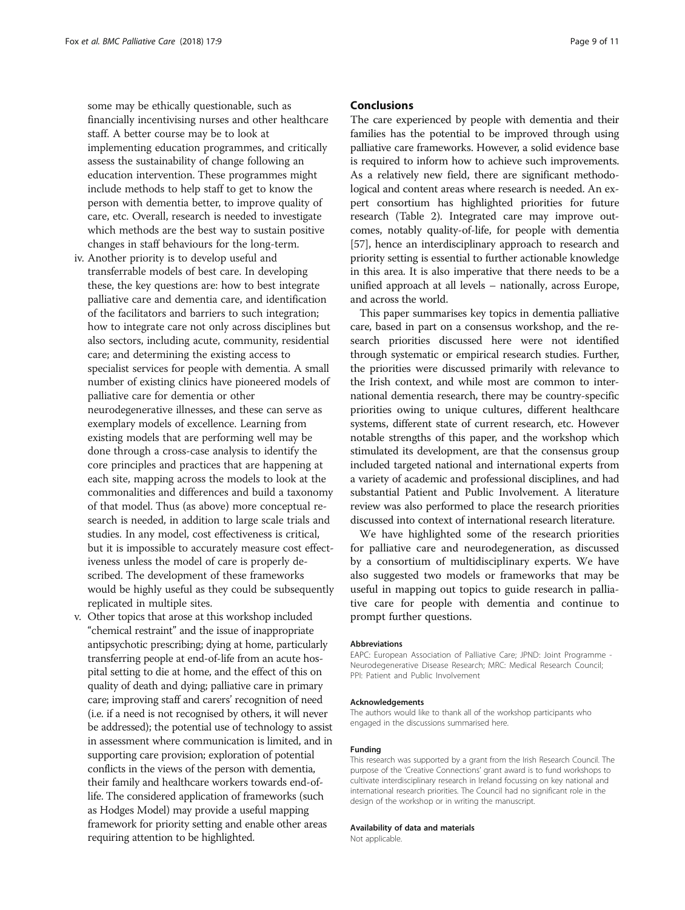some may be ethically questionable, such as financially incentivising nurses and other healthcare staff. A better course may be to look at implementing education programmes, and critically assess the sustainability of change following an education intervention. These programmes might include methods to help staff to get to know the person with dementia better, to improve quality of care, etc. Overall, research is needed to investigate which methods are the best way to sustain positive changes in staff behaviours for the long-term.

- iv. Another priority is to develop useful and transferrable models of best care. In developing these, the key questions are: how to best integrate palliative care and dementia care, and identification of the facilitators and barriers to such integration; how to integrate care not only across disciplines but also sectors, including acute, community, residential care; and determining the existing access to specialist services for people with dementia. A small number of existing clinics have pioneered models of palliative care for dementia or other neurodegenerative illnesses, and these can serve as exemplary models of excellence. Learning from existing models that are performing well may be done through a cross-case analysis to identify the core principles and practices that are happening at each site, mapping across the models to look at the commonalities and differences and build a taxonomy of that model. Thus (as above) more conceptual research is needed, in addition to large scale trials and studies. In any model, cost effectiveness is critical, but it is impossible to accurately measure cost effectiveness unless the model of care is properly described. The development of these frameworks would be highly useful as they could be subsequently replicated in multiple sites.
- v. Other topics that arose at this workshop included "chemical restraint" and the issue of inappropriate antipsychotic prescribing; dying at home, particularly transferring people at end-of-life from an acute hospital setting to die at home, and the effect of this on quality of death and dying; palliative care in primary care; improving staff and carers' recognition of need (i.e. if a need is not recognised by others, it will never be addressed); the potential use of technology to assist in assessment where communication is limited, and in supporting care provision; exploration of potential conflicts in the views of the person with dementia, their family and healthcare workers towards end-oflife. The considered application of frameworks (such as Hodges Model) may provide a useful mapping framework for priority setting and enable other areas requiring attention to be highlighted.

#### Conclusions

The care experienced by people with dementia and their families has the potential to be improved through using palliative care frameworks. However, a solid evidence base is required to inform how to achieve such improvements. As a relatively new field, there are significant methodological and content areas where research is needed. An expert consortium has highlighted priorities for future research (Table [2\)](#page-3-0). Integrated care may improve outcomes, notably quality-of-life, for people with dementia [[57](#page-10-0)], hence an interdisciplinary approach to research and priority setting is essential to further actionable knowledge in this area. It is also imperative that there needs to be a unified approach at all levels – nationally, across Europe, and across the world.

This paper summarises key topics in dementia palliative care, based in part on a consensus workshop, and the research priorities discussed here were not identified through systematic or empirical research studies. Further, the priorities were discussed primarily with relevance to the Irish context, and while most are common to international dementia research, there may be country-specific priorities owing to unique cultures, different healthcare systems, different state of current research, etc. However notable strengths of this paper, and the workshop which stimulated its development, are that the consensus group included targeted national and international experts from a variety of academic and professional disciplines, and had substantial Patient and Public Involvement. A literature review was also performed to place the research priorities discussed into context of international research literature.

We have highlighted some of the research priorities for palliative care and neurodegeneration, as discussed by a consortium of multidisciplinary experts. We have also suggested two models or frameworks that may be useful in mapping out topics to guide research in palliative care for people with dementia and continue to prompt further questions.

#### **Abbreviations**

EAPC: European Association of Palliative Care; JPND: Joint Programme - Neurodegenerative Disease Research; MRC: Medical Research Council; PPI: Patient and Public Involvement

#### Acknowledgements

The authors would like to thank all of the workshop participants who engaged in the discussions summarised here.

#### Funding

This research was supported by a grant from the Irish Research Council. The purpose of the 'Creative Connections' grant award is to fund workshops to cultivate interdisciplinary research in Ireland focussing on key national and international research priorities. The Council had no significant role in the design of the workshop or in writing the manuscript.

#### Availability of data and materials

Not applicable.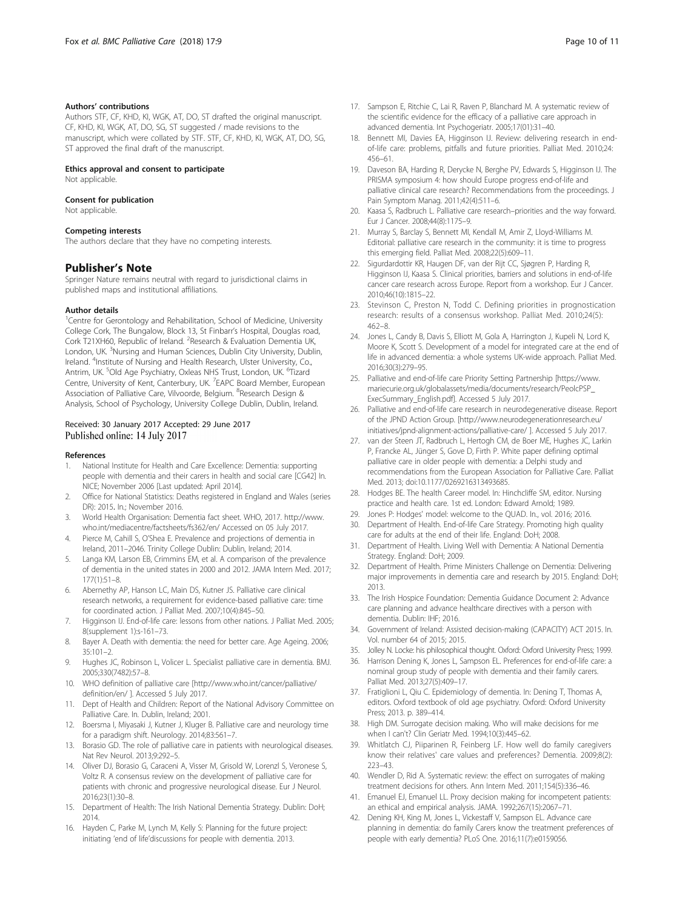#### <span id="page-9-0"></span>Authors' contributions

Authors STF, CF, KHD, KI, WGK, AT, DO, ST drafted the original manuscript. CF, KHD, KI, WGK, AT, DO, SG, ST suggested / made revisions to the manuscript, which were collated by STF. STF, CF, KHD, KI, WGK, AT, DO, SG, ST approved the final draft of the manuscript.

#### Ethics approval and consent to participate

Not applicable.

#### Consent for publication

Not applicable.

#### Competing interests

The authors declare that they have no competing interests.

#### Publisher's Note

Springer Nature remains neutral with regard to jurisdictional claims in published maps and institutional affiliations.

#### Author details

<sup>1</sup>Centre for Gerontology and Rehabilitation, School of Medicine, University College Cork, The Bungalow, Block 13, St Finbarr's Hospital, Douglas road, Cork T21XH60, Republic of Ireland. <sup>2</sup> Research & Evaluation Dementia UK, London, UK. <sup>3</sup>Nursing and Human Sciences, Dublin City University, Dublin, Ireland. <sup>4</sup>Institute of Nursing and Health Research, Ulster University, Co., Antrim, UK. <sup>5</sup>Old Age Psychiatry, Oxleas NHS Trust, London, UK. <sup>6</sup>Tizard Centre, University of Kent, Canterbury, UK. <sup>7</sup>EAPC Board Member, European Association of Palliative Care, Vilvoorde, Belgium. <sup>8</sup>Research Design & Analysis, School of Psychology, University College Dublin, Dublin, Ireland.

#### Received: 30 January 2017 Accepted: 29 June 2017 Published online: 14 July 2017

#### References

- 1. National Institute for Health and Care Excellence: Dementia: supporting people with dementia and their carers in health and social care [CG42] In. NICE; November 2006 [Last updated: April 2014].
- 2. Office for National Statistics: Deaths registered in England and Wales (series DR): 2015. In.; November 2016.
- 3. World Health Organisation: Dementia fact sheet. WHO, 2017. [http://www.](http://www.who.int/mediacentre/factsheets/fs362/en/) [who.int/mediacentre/factsheets/fs362/en/](http://www.who.int/mediacentre/factsheets/fs362/en/) Accessed on 05 July 2017.
- 4. Pierce M, Cahill S, O'Shea E. Prevalence and projections of dementia in Ireland, 2011–2046. Trinity College Dublin: Dublin, Ireland; 2014.
- 5. Langa KM, Larson EB, Crimmins EM, et al. A comparison of the prevalence of dementia in the united states in 2000 and 2012. JAMA Intern Med. 2017; 177(1):51–8.
- 6. Abernethy AP, Hanson LC, Main DS, Kutner JS. Palliative care clinical research networks, a requirement for evidence-based palliative care: time for coordinated action. J Palliat Med. 2007;10(4):845–50.
- 7. Higginson IJ. End-of-life care: lessons from other nations. J Palliat Med. 2005; 8(supplement 1):s-161–73.
- 8. Bayer A. Death with dementia: the need for better care. Age Ageing. 2006; 35:101–2.
- 9. Hughes JC, Robinson L, Volicer L. Specialist palliative care in dementia. BMJ. 2005;330(7482):57–8.
- 10. WHO definition of palliative care [[http://www.who.int/cancer/palliative/](http://www.who.int/cancer/palliative/definition/en) [definition/en/](http://www.who.int/cancer/palliative/definition/en) ]. Accessed 5 July 2017.
- 11. Dept of Health and Children: Report of the National Advisory Committee on Palliative Care. In. Dublin, Ireland; 2001.
- 12. Boersma I, Miyasaki J, Kutner J, Kluger B. Palliative care and neurology time for a paradigm shift. Neurology. 2014;83:561–7.
- 13. Borasio GD. The role of palliative care in patients with neurological diseases. Nat Rev Neurol. 2013;9:292–5.
- 14. Oliver DJ, Borasio G, Caraceni A, Visser M, Grisold W, Lorenzl S, Veronese S, Voltz R. A consensus review on the development of palliative care for patients with chronic and progressive neurological disease. Eur J Neurol. 2016;23(1):30–8.
- 15. Department of Health: The Irish National Dementia Strategy. Dublin: DoH; 2014.
- 16. Hayden C, Parke M, Lynch M, Kelly S: Planning for the future project: initiating 'end of life'discussions for people with dementia. 2013.
- 17. Sampson E, Ritchie C, Lai R, Raven P, Blanchard M. A systematic review of the scientific evidence for the efficacy of a palliative care approach in advanced dementia. Int Psychogeriatr. 2005;17(01):31–40.
- 18. Bennett MI, Davies EA, Higginson IJ. Review: delivering research in endof-life care: problems, pitfalls and future priorities. Palliat Med. 2010;24: 456–61.
- 19. Daveson BA, Harding R, Derycke N, Berghe PV, Edwards S, Higginson IJ. The PRISMA symposium 4: how should Europe progress end-of-life and palliative clinical care research? Recommendations from the proceedings. J Pain Symptom Manag. 2011;42(4):511–6.
- 20. Kaasa S, Radbruch L. Palliative care research–priorities and the way forward. Eur J Cancer. 2008;44(8):1175–9.
- 21. Murray S, Barclay S, Bennett MI, Kendall M, Amir Z, Lloyd-Williams M. Editorial: palliative care research in the community: it is time to progress this emerging field. Palliat Med. 2008;22(5):609–11.
- 22. Sigurdardottir KR, Haugen DF, van der Rijt CC, Sjøgren P, Harding R, Higginson IJ, Kaasa S. Clinical priorities, barriers and solutions in end-of-life cancer care research across Europe. Report from a workshop. Eur J Cancer. 2010;46(10):1815–22.
- 23. Stevinson C, Preston N, Todd C. Defining priorities in prognostication research: results of a consensus workshop. Palliat Med. 2010;24(5): 462–8.
- 24. Jones L, Candy B, Davis S, Elliott M, Gola A, Harrington J, Kupeli N, Lord K, Moore K, Scott S. Development of a model for integrated care at the end of life in advanced dementia: a whole systems UK-wide approach. Palliat Med. 2016;30(3):279–95.
- 25. Palliative and end-of-life care Priority Setting Partnership [[https://www.](https://www.mariecurie.org.uk/globalassets/media/documents/research/PeolcPSP_ExecSummary_English.pdf) [mariecurie.org.uk/globalassets/media/documents/research/PeolcPSP\\_](https://www.mariecurie.org.uk/globalassets/media/documents/research/PeolcPSP_ExecSummary_English.pdf) [ExecSummary\\_English.pdf](https://www.mariecurie.org.uk/globalassets/media/documents/research/PeolcPSP_ExecSummary_English.pdf)]. Accessed 5 July 2017.
- 26. Palliative and end-of-life care research in neurodegenerative disease. Report of the JPND Action Group. [[http://www.neurodegenerationresearch.eu/](http://www.neurodegenerationresearch.eu/initiatives/jpnd-alignment-actions/palliative-care) [initiatives/jpnd-alignment-actions/palliative-care/](http://www.neurodegenerationresearch.eu/initiatives/jpnd-alignment-actions/palliative-care) ]. Accessed 5 July 2017.
- 27. van der Steen JT, Radbruch L, Hertogh CM, de Boer ME, Hughes JC, Larkin P, Francke AL, Jünger S, Gove D, Firth P. White paper defining optimal palliative care in older people with dementia: a Delphi study and recommendations from the European Association for Palliative Care. Palliat Med. 2013; doi[:10.1177/0269216313493685.](http://dx.doi.org/10.1177/0269216313493685)
- 28. Hodges BE. The health Career model. In: Hinchcliffe SM, editor. Nursing practice and health care. 1st ed. London: Edward Arnold; 1989.
- 29. Jones P: Hodges' model: welcome to the QUAD. In., vol. 2016; 2016.
- 30. Department of Health. End-of-life Care Strategy. Promoting high quality care for adults at the end of their life. England: DoH; 2008.
- 31. Department of Health. Living Well with Dementia: A National Dementia Strategy. England: DoH; 2009.
- 32. Department of Health. Prime Ministers Challenge on Dementia: Delivering major improvements in dementia care and research by 2015. England: DoH; 2013.
- 33. The Irish Hospice Foundation: Dementia Guidance Document 2: Advance care planning and advance healthcare directives with a person with dementia. Dublin: IHF; 2016.
- 34. Government of Ireland: Assisted decision-making (CAPACITY) ACT 2015. In. Vol. number 64 of 2015; 2015.
- 35. Jolley N. Locke: his philosophical thought. Oxford: Oxford University Press; 1999.
- 36. Harrison Dening K, Jones L, Sampson EL. Preferences for end-of-life care: a nominal group study of people with dementia and their family carers. Palliat Med. 2013;27(5):409–17.
- 37. Fratiglioni L, Qiu C. Epidemiology of dementia. In: Dening T, Thomas A, editors. Oxford textbook of old age psychiatry. Oxford: Oxford University Press; 2013. p. 389–414.
- 38. High DM. Surrogate decision making. Who will make decisions for me when I can't? Clin Geriatr Med. 1994;10(3):445–62.
- 39. Whitlatch CJ, Piiparinen R, Feinberg LF. How well do family caregivers know their relatives' care values and preferences? Dementia. 2009;8(2): 223–43.
- 40. Wendler D, Rid A. Systematic review: the effect on surrogates of making treatment decisions for others. Ann Intern Med. 2011;154(5):336–46.
- 41. Emanuel EJ, Emanuel LL. Proxy decision making for incompetent patients: an ethical and empirical analysis. JAMA. 1992;267(15):2067–71.
- 42. Dening KH, King M, Jones L, Vickestaff V, Sampson EL. Advance care planning in dementia: do family Carers know the treatment preferences of people with early dementia? PLoS One. 2016;11(7):e0159056.